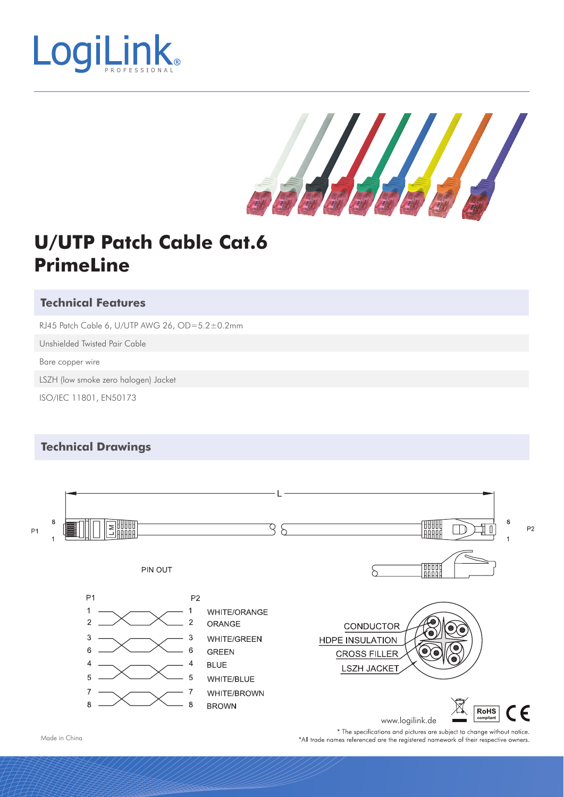

Salah di

# **U/UTP Patch Cable Cat.6 PrimeLine**

### **Technical Features**

RJ45 Patch Cable 6, U/UTP AWG 26, OD=5.2±0.2mm

Unshielded Twisted Pair Cable

Bare copper wire

LSZH (low smoke zero halogen) Jacket

ISO/IEC 11801, EN50173

#### **Technical Drawings**



Made in China

\* The specifications and pictures are subject to change without notice. \*All trade names referenced are the registered namework of their respective owners.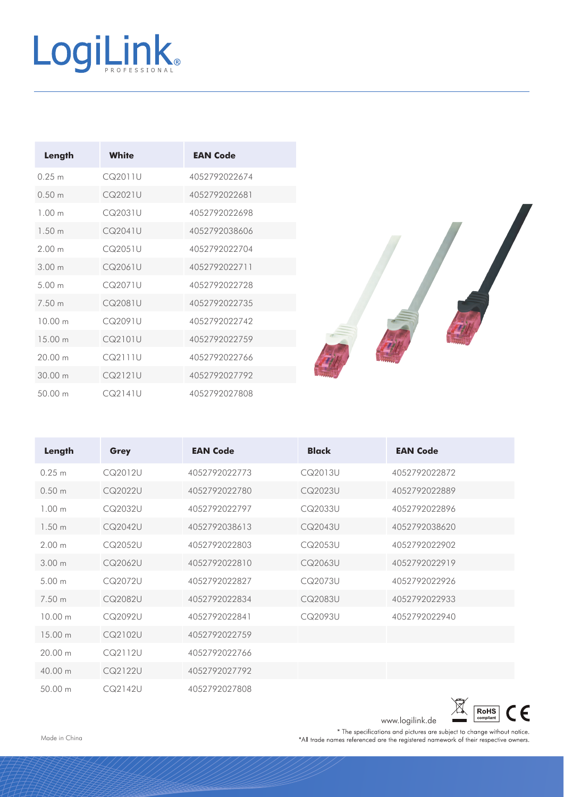# LogiLink®

| Length            | White   | <b>EAN Code</b> |
|-------------------|---------|-----------------|
| 0.25 m            | CQ2011U | 4052792022674   |
| 0.50 m            | CQ2021U | 4052792022681   |
| 1.00 <sub>m</sub> | CQ2031U | 4052792022698   |
| 1.50 <sub>m</sub> | CQ2041U | 4052792038606   |
| 200m              | CQ2051U | 4052792022704   |
| 3.00 m            | CQ2061U | 4052792022711   |
| 500m              | CQ2071U | 4052792022728   |
| 7.50 m            | CQ2081U | 4052792022735   |
| 1000m             | CQ2091U | 4052792022742   |
| 15 00 m           | CQ2101U | 4052792022759   |
| 20.00 m           | CQ2111U | 4052792022766   |
| 3000m             | CQ2121U | 4052792027792   |
| 50.00 m           | CQ2141U | 4052792027808   |



| Length            | <b>Grey</b> | <b>EAN Code</b> | <b>Black</b> | <b>EAN Code</b> |
|-------------------|-------------|-----------------|--------------|-----------------|
| 0.25 m            | CQ2012U     | 4052792022773   | CQ2013U      | 4052792022872   |
| 0.50 m            | CQ2022U     | 4052792022780   | CQ2023U      | 4052792022889   |
| 1.00 <sub>m</sub> | CQ2032U     | 4052792022797   | CQ2033U      | 4052792022896   |
| 1.50 m            | CQ2042U     | 4052792038613   | CQ2043U      | 4052792038620   |
| 2.00 m            | CQ2052U     | 4052792022803   | CQ2053U      | 4052792022902   |
| 3.00 <sub>m</sub> | CQ2062U     | 4052792022810   | CQ2063U      | 4052792022919   |
| 5.00 m            | CQ2072U     | 4052792022827   | CQ2073U      | 4052792022926   |
| 7.50 m            | CQ2082U     | 4052792022834   | CQ2083U      | 4052792022933   |
| 10.00 m           | CQ2092U     | 4052792022841   | CQ2093U      | 4052792022940   |
| 15 00 m           | CQ2102U     | 4052792022759   |              |                 |
| 20.00 m           | CQ2112U     | 4052792022766   |              |                 |
| 40.00 m           | CQ2122U     | 4052792027792   |              |                 |
| 50.00 m           | CQ2142U     | 4052792027808   |              |                 |



Made in China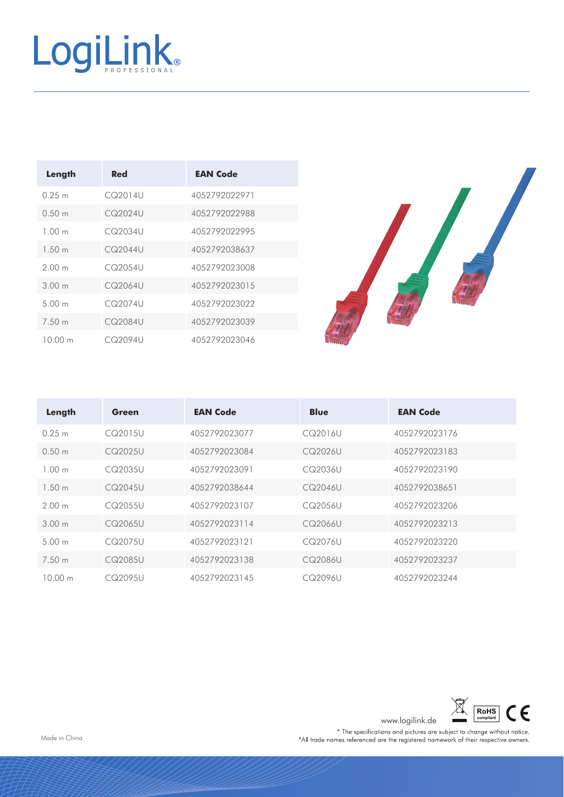

| Length            | Red     | <b>EAN Code</b> |
|-------------------|---------|-----------------|
| 0.25 m            | CQ2014U | 4052792022971   |
| 0.50 <sub>m</sub> | CQ2024U | 4052792022988   |
| 100 <sub>m</sub>  | CQ2034U | 4052792022995   |
| 1.50 m            | CQ2044U | 4052792038637   |
| 200 <sub>m</sub>  | CQ2054U | 4052792023008   |
| 300 <sub>m</sub>  | CQ2064U | 4052792023015   |
| 500 <sub>m</sub>  | CQ2074U | 4052792023022   |
| 7.50 m            | CQ2084U | 4052792023039   |
| 10 00 m           | CQ2094U | 4052792023046   |



| Length            | Green   | <b>EAN Code</b> | <b>Blue</b> | <b>EAN Code</b> |
|-------------------|---------|-----------------|-------------|-----------------|
| 0.25 m            | CQ2015U | 4052792023077   | CQ2016U     | 4052792023176   |
| 0.50 <sub>m</sub> | CQ2025U | 4052792023084   | CQ2026U     | 4052792023183   |
| 1.00 m            | CQ2035U | 4052792023091   | CQ2036U     | 4052792023190   |
| 1.50 <sub>m</sub> | CQ2045U | 4052792038644   | CQ2046U     | 4052792038651   |
| 2.00 m            | CQ2055U | 4052792023107   | CQ2056U     | 4052792023206   |
| 300m              | CQ2065U | 4052792023114   | CQ2066U     | 4052792023213   |
| 5.00 m            | CQ2075U | 4052792023121   | CQ2076U     | 4052792023220   |
| 7.50 m            | CQ2085U | 4052792023138   | CQ2086U     | 4052792023237   |
| 10.00 m           | CQ2095U | 4052792023145   | CQ2096U     | 4052792023244   |



www.logilink.de <u>and compliant</u><br>
\* The specifications and pictures are subject to change without notice.<br>
\*All trade names referenced are the registered namework of their respective owners.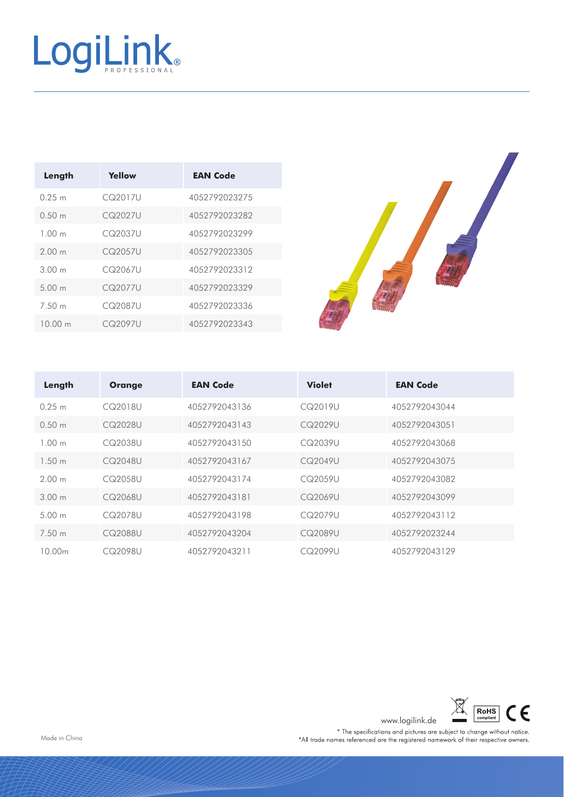

| Length           | Yellow  | <b>EAN Code</b> |
|------------------|---------|-----------------|
| 0.25 m           | CQ2017U | 4052792023275   |
| 0.50 m           | CQ2027U | 4052792023282   |
| 100 <sub>m</sub> | CQ2037U | 4052792023299   |
| 200 <sub>m</sub> | CQ2057U | 4052792023305   |
| 300 m            | CQ2067U | 4052792023312   |
| 500m             | CQ2077U | 4052792023329   |
| 7.50 m           | CQ2087U | 4052792023336   |
| 10.00 m          | CQ2097U | 4052792023343   |



| Length | <b>Orange</b> | <b>EAN Code</b> | <b>Violet</b> | <b>EAN Code</b> |
|--------|---------------|-----------------|---------------|-----------------|
| 0.25 m | CQ2018U       | 4052792043136   | CQ2019U       | 4052792043044   |
| 0.50 m | CQ2028U       | 4052792043143   | CQ2029U       | 4052792043051   |
| 100m   | CQ2038U       | 4052792043150   | CQ2039U       | 4052792043068   |
| 1.50 m | CQ2048U       | 4052792043167   | CQ2049U       | 4052792043075   |
| 200m   | CQ2058U       | 4052792043174   | CQ2059U       | 4052792043082   |
| 300m   | CQ2068U       | 4052792043181   | CQ2069U       | 4052792043099   |
| 500m   | CQ2078U       | 4052792043198   | CQ2079U       | 4052792043112   |
| 7.50 m | CQ2088U       | 4052792043204   | CQ2089U       | 4052792023244   |
| 10.00m | CQ2098U       | 4052792043211   | CQ2099U       | 4052792043129   |



www.logilink.de <u>with the specifications</u> and pictures are subject to change without notice.<br>\*All trade names referenced are the registered namework of their respective owners.